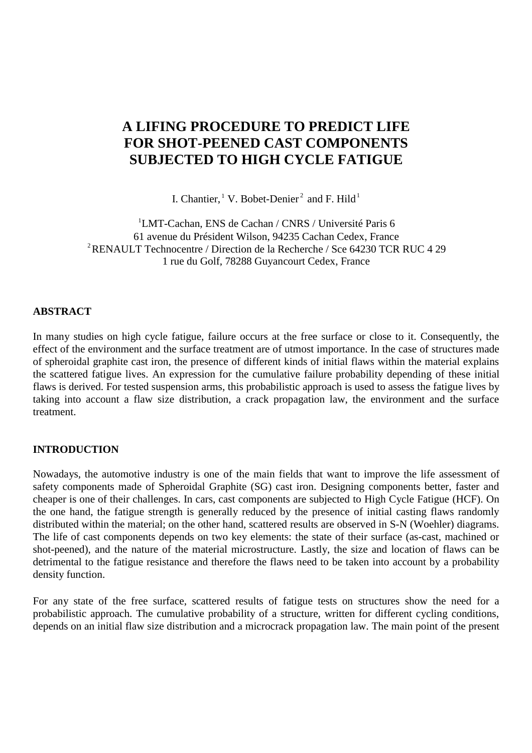# **A LIFING PROCEDURE TO PREDICT LIFE FOR SHOT-PEENED CAST COMPONENTS SUBJECTED TO HIGH CYCLE FATIGUE**

I. Chantier, <sup>1</sup> V. Bobet-Denier<sup>2</sup> and F. Hild<sup>1</sup>

<sup>1</sup>LMT-Cachan, ENS de Cachan / CNRS / Université Paris 6 61 avenue du Président Wilson, 94235 Cachan Cedex, France <sup>2</sup>RENAULT Technocentre / Direction de la Recherche / Sce 64230 TCR RUC 4 29 1 rue du Golf, 78288 Guyancourt Cedex, France

### **ABSTRACT**

In many studies on high cycle fatigue, failure occurs at the free surface or close to it. Consequently, the effect of the environment and the surface treatment are of utmost importance. In the case of structures made of spheroidal graphite cast iron, the presence of different kinds of initial flaws within the material explains the scattered fatigue lives. An expression for the cumulative failure probability depending of these initial flaws is derived. For tested suspension arms, this probabilistic approach is used to assess the fatigue lives by taking into account a flaw size distribution, a crack propagation law, the environment and the surface treatment.

## **INTRODUCTION**

Nowadays, the automotive industry is one of the main fields that want to improve the life assessment of safety components made of Spheroidal Graphite (SG) cast iron. Designing components better, faster and cheaper is one of their challenges. In cars, cast components are subjected to High Cycle Fatigue (HCF). On the one hand, the fatigue strength is generally reduced by the presence of initial casting flaws randomly distributed within the material; on the other hand, scattered results are observed in S-N (Woehler) diagrams. The life of cast components depends on two key elements: the state of their surface (as-cast, machined or shot-peened), and the nature of the material microstructure. Lastly, the size and location of flaws can be detrimental to the fatigue resistance and therefore the flaws need to be taken into account by a probability density function.

For any state of the free surface, scattered results of fatigue tests on structures show the need for a probabilistic approach. The cumulative probability of a structure, written for different cycling conditions, depends on an initial flaw size distribution and a microcrack propagation law. The main point of the present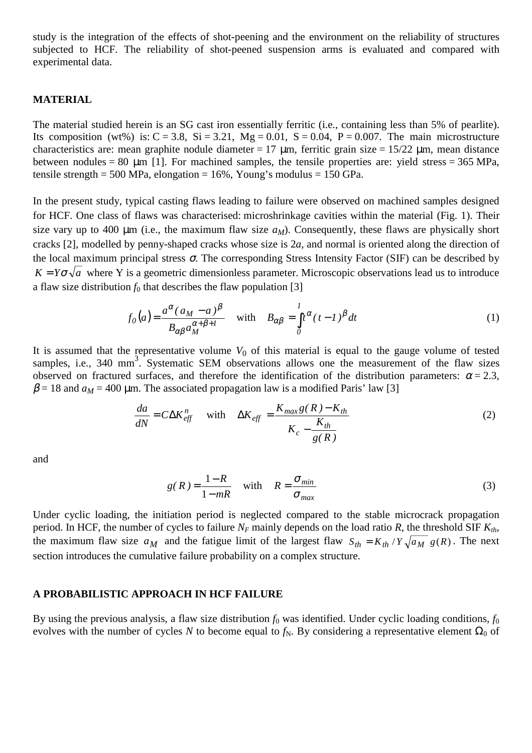study is the integration of the effects of shot-peening and the environment on the reliability of structures subjected to HCF. The reliability of shot-peened suspension arms is evaluated and compared with experimental data.

#### **MATERIAL**

The material studied herein is an SG cast iron essentially ferritic (i.e., containing less than 5% of pearlite). Its composition (wt%) is:  $C = 3.8$ ,  $Si = 3.21$ ,  $Mg = 0.01$ ,  $S = 0.04$ ,  $P = 0.007$ . The main microstructure characteristics are: mean graphite nodule diameter = 17  $\mu$ m, ferritic grain size = 15/22  $\mu$ m, mean distance between nodules = 80  $\mu$ m [1]. For machined samples, the tensile properties are: yield stress = 365 MPa, tensile strength = 500 MPa, elongation =  $16\%$ , Young's modulus =  $150$  GPa.

In the present study, typical casting flaws leading to failure were observed on machined samples designed for HCF. One class of flaws was characterised: microshrinkage cavities within the material (Fig. 1). Their size vary up to 400  $\mu$ m (i.e., the maximum flaw size  $a_M$ ). Consequently, these flaws are physically short cracks [2], modelled by penny-shaped cracks whose size is 2*a*, and normal is oriented along the direction of the local maximum principal stress  $\sigma$ . The corresponding Stress Intensity Factor (SIF) can be described by  $K = Y \sigma \sqrt{a}$  where Y is a geometric dimensionless parameter. Microscopic observations lead us to introduce a flaw size distribution  $f_0$  that describes the flaw population [3]

$$
f_0(a) = \frac{a^{\alpha} (a_M - a)^{\beta}}{B_{\alpha\beta} a_M^{\alpha + \beta + 1}} \quad \text{with} \quad B_{\alpha\beta} = \int_0^1 t^{\alpha} (t - 1)^{\beta} dt \tag{1}
$$

It is assumed that the representative volume  $V_0$  of this material is equal to the gauge volume of tested samples, i.e., 340 mm<sup>3</sup>. Systematic SEM observations allows one the measurement of the flaw sizes observed on fractured surfaces, and therefore the identification of the distribution parameters:  $\alpha = 2.3$ ,  $\beta$  = 18 and  $a_M$  = 400 µm. The associated propagation law is a modified Paris' law [3]

$$
\frac{da}{dN} = C\Delta K_{eff}^n \quad \text{with} \quad \Delta K_{eff} = \frac{K_{max}g(R) - K_{th}}{K_c - \frac{K_{th}}{g(R)}}
$$
(2)

and

$$
g(R) = \frac{1 - R}{1 - mR} \quad \text{with} \quad R = \frac{\sigma_{min}}{\sigma_{max}} \tag{3}
$$

Under cyclic loading, the initiation period is neglected compared to the stable microcrack propagation period. In HCF, the number of cycles to failure  $N_F$  mainly depends on the load ratio  $R$ , the threshold SIF  $K_{th}$ , the maximum flaw size  $a_M$  and the fatigue limit of the largest flaw  $S_{th} = K_{th}/Y \sqrt{a_M} g(R)$ . The next section introduces the cumulative failure probability on a complex structure.

#### **A PROBABILISTIC APPROACH IN HCF FAILURE**

By using the previous analysis, a flaw size distribution  $f_0$  was identified. Under cyclic loading conditions,  $f_0$ evolves with the number of cycles *N* to become equal to  $f_N$ . By considering a representative element  $\Omega_0$  of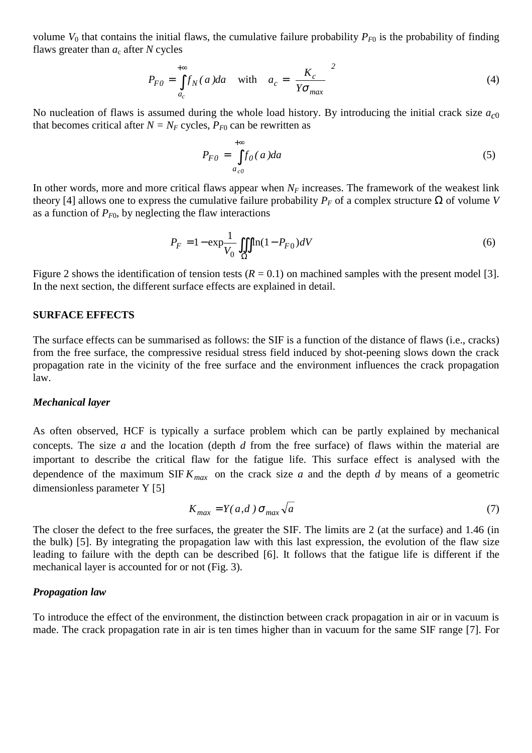volume  $V_0$  that contains the initial flaws, the cumulative failure probability  $P_{F0}$  is the probability of finding flaws greater than  $a_c$  after *N* cycles

$$
P_{F0} = \int_{a_c}^{+\infty} f_N(a)da \quad \text{with} \quad a_c = \left(\frac{K_c}{Y\sigma_{max}}\right)^2 \tag{4}
$$

No nucleation of flaws is assumed during the whole load history. By introducing the initial crack size *ac*<sup>0</sup> that becomes critical after  $N = N_F$  cycles,  $P_{F0}$  can be rewritten as

$$
P_{F0} = \int_{a_{c0}}^{+\infty} f_0(a)da
$$
 (5)

In other words, more and more critical flaws appear when  $N_F$  increases. The framework of the weakest link theory [4] allows one to express the cumulative failure probability  $P_F$  of a complex structure  $\Omega$  of volume *V* as a function of  $P_{F0}$ , by neglecting the flaw interactions

$$
P_F = 1 - \exp\frac{1}{V_0} \iiint_{\Omega} \ln(1 - P_{F0})dV
$$
\n(6)

Figure 2 shows the identification of tension tests  $(R = 0.1)$  on machined samples with the present model [3]. In the next section, the different surface effects are explained in detail.

#### **SURFACE EFFECTS**

The surface effects can be summarised as follows: the SIF is a function of the distance of flaws (i.e., cracks) from the free surface, the compressive residual stress field induced by shot-peening slows down the crack propagation rate in the vicinity of the free surface and the environment influences the crack propagation law.

#### *Mechanical layer*

As often observed, HCF is typically a surface problem which can be partly explained by mechanical concepts. The size *a* and the location (depth *d* from the free surface) of flaws within the material are important to describe the critical flaw for the fatigue life. This surface effect is analysed with the dependence of the maximum  $SIF K_{max}$  on the crack size *a* and the depth *d* by means of a geometric dimensionless parameter Y [5]

$$
K_{max} = Y(a,d) \sigma_{max} \sqrt{a} \tag{7}
$$

The closer the defect to the free surfaces, the greater the SIF. The limits are 2 (at the surface) and 1.46 (in the bulk) [5]. By integrating the propagation law with this last expression, the evolution of the flaw size leading to failure with the depth can be described [6]. It follows that the fatigue life is different if the mechanical layer is accounted for or not (Fig. 3).

#### *Propagation law*

To introduce the effect of the environment, the distinction between crack propagation in air or in vacuum is made. The crack propagation rate in air is ten times higher than in vacuum for the same SIF range [7]. For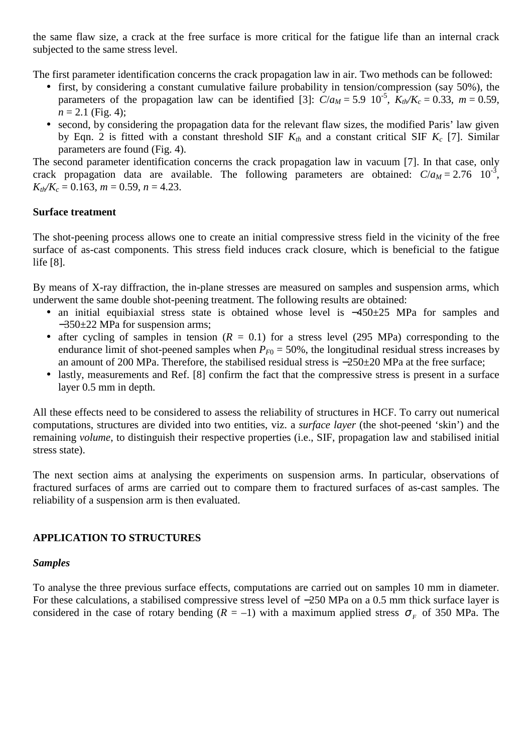the same flaw size, a crack at the free surface is more critical for the fatigue life than an internal crack subjected to the same stress level.

The first parameter identification concerns the crack propagation law in air. Two methods can be followed:

- first, by considering a constant cumulative failure probability in tension/compression (say 50%), the parameters of the propagation law can be identified [3]:  $C/a_M = 5.9 \cdot 10^{-5}$ ,  $K_{th}/K_c = 0.33$ ,  $m = 0.59$ ,  $n = 2.1$  (Fig. 4);
- second, by considering the propagation data for the relevant flaw sizes, the modified Paris' law given by Eqn. 2 is fitted with a constant threshold SIF  $K<sub>th</sub>$  and a constant critical SIF  $K<sub>c</sub>$  [7]. Similar parameters are found (Fig. 4).

The second parameter identification concerns the crack propagation law in vacuum [7]. In that case, only crack propagation data are available. The following parameters are obtained:  $C/a_M = 2.76 \times 10^{-3}$ , *Kth/Kc* = 0.163, *m* = 0.59, *n* = 4.23.

### **Surface treatment**

The shot-peening process allows one to create an initial compressive stress field in the vicinity of the free surface of as-cast components. This stress field induces crack closure, which is beneficial to the fatigue life [8].

By means of X-ray diffraction, the in-plane stresses are measured on samples and suspension arms, which underwent the same double shot-peening treatment. The following results are obtained:

- an initial equibiaxial stress state is obtained whose level is −450±25 MPa for samples and −350±22 MPa for suspension arms;
- after cycling of samples in tension  $(R = 0.1)$  for a stress level (295 MPa) corresponding to the endurance limit of shot-peened samples when  $P_{F0} = 50\%$ , the longitudinal residual stress increases by an amount of 200 MPa. Therefore, the stabilised residual stress is −250±20 MPa at the free surface;
- lastly, measurements and Ref. [8] confirm the fact that the compressive stress is present in a surface layer 0.5 mm in depth.

All these effects need to be considered to assess the reliability of structures in HCF. To carry out numerical computations, structures are divided into two entities, viz. a *surface layer* (the shot-peened 'skin') and the remaining *volume*, to distinguish their respective properties (i.e., SIF, propagation law and stabilised initial stress state).

The next section aims at analysing the experiments on suspension arms. In particular, observations of fractured surfaces of arms are carried out to compare them to fractured surfaces of as-cast samples. The reliability of a suspension arm is then evaluated.

## **APPLICATION TO STRUCTURES**

### *Samples*

To analyse the three previous surface effects, computations are carried out on samples 10 mm in diameter. For these calculations, a stabilised compressive stress level of −250 MPa on a 0.5 mm thick surface layer is considered in the case of rotary bending  $(R = -1)$  with a maximum applied stress  $\sigma<sub>F</sub>$  of 350 MPa. The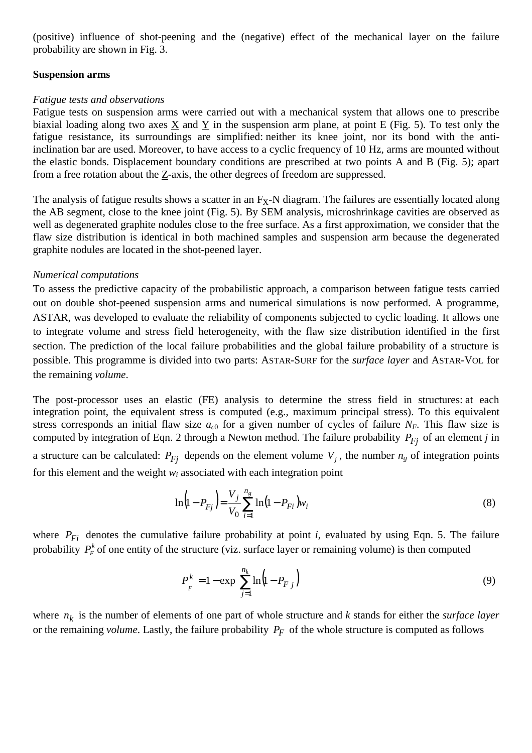(positive) influence of shot-peening and the (negative) effect of the mechanical layer on the failure probability are shown in Fig. 3.

### **Suspension arms**

### *Fatigue tests and observations*

Fatigue tests on suspension arms were carried out with a mechanical system that allows one to prescribe biaxial loading along two axes X and Y in the suspension arm plane, at point E (Fig. 5). To test only the fatigue resistance, its surroundings are simplified: neither its knee joint, nor its bond with the antiinclination bar are used. Moreover, to have access to a cyclic frequency of 10 Hz, arms are mounted without the elastic bonds. Displacement boundary conditions are prescribed at two points A and B (Fig. 5); apart from a free rotation about the Z-axis, the other degrees of freedom are suppressed.

The analysis of fatigue results shows a scatter in an  $F_X$ -N diagram. The failures are essentially located along the AB segment, close to the knee joint (Fig. 5). By SEM analysis, microshrinkage cavities are observed as well as degenerated graphite nodules close to the free surface. As a first approximation, we consider that the flaw size distribution is identical in both machined samples and suspension arm because the degenerated graphite nodules are located in the shot-peened layer.

### *Numerical computations*

To assess the predictive capacity of the probabilistic approach, a comparison between fatigue tests carried out on double shot-peened suspension arms and numerical simulations is now performed. A programme, ASTAR, was developed to evaluate the reliability of components subjected to cyclic loading. It allows one to integrate volume and stress field heterogeneity, with the flaw size distribution identified in the first section. The prediction of the local failure probabilities and the global failure probability of a structure is possible. This programme is divided into two parts: ASTAR-SURF for the *surface layer* and ASTAR-VOL for the remaining *volume*.

The post-processor uses an elastic (FE) analysis to determine the stress field in structures: at each integration point, the equivalent stress is computed (e.g., maximum principal stress). To this equivalent stress corresponds an initial flaw size  $a_{c0}$  for a given number of cycles of failure  $N_F$ . This flaw size is computed by integration of Eqn. 2 through a Newton method. The failure probability  $P_{Fi}$  of an element *j* in a structure can be calculated:  $P_{Fj}$  depends on the element volume  $V_j$ , the number  $n_g$  of integration points for this element and the weight  $w_i$  associated with each integration point

$$
\ln\left(1 - P_{Fj}\right) = \frac{V_j}{V_0} \sum_{i=1}^{n_g} \ln\left(1 - P_{Fi}\right) w_i \tag{8}
$$

where  $P_{Fi}$  denotes the cumulative failure probability at point *i*, evaluated by using Eqn. 5. The failure probability  $P_F^k$  of one entity of the structure (viz. surface layer or remaining volume) is then computed

$$
P_F^k = 1 - \exp\left[\sum_{j=1}^{n_k} \ln(1 - P_{Fj})\right]
$$
 (9)

where  $n_k$  is the number of elements of one part of whole structure and  $k$  stands for either the *surface layer* or the remaining *volume*. Lastly, the failure probability  $P_F$  of the whole structure is computed as follows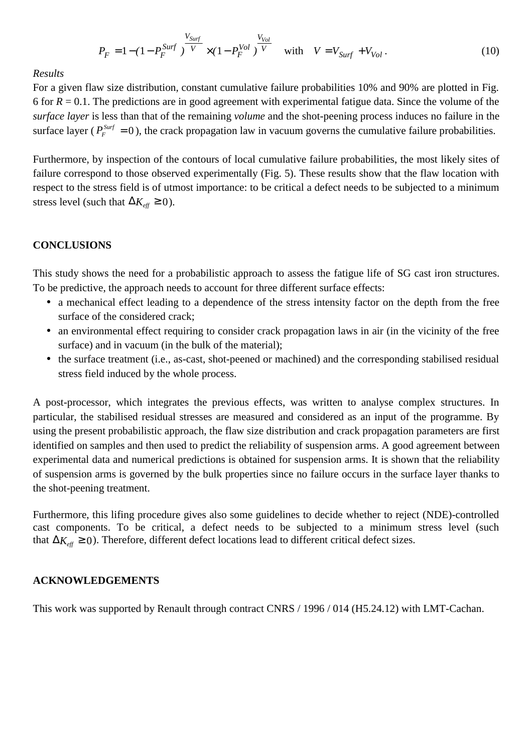$$
P_F = 1 - (1 - P_F^{Surf})^{\frac{V_{Surf}}{V}} \times (1 - P_F^{Vol})^{\frac{V_{Vol}}{V}} \quad \text{with} \quad V = V_{Surf} + V_{Vol} \,. \tag{10}
$$

### *Results*

For a given flaw size distribution, constant cumulative failure probabilities 10% and 90% are plotted in Fig. 6 for  $R = 0.1$ . The predictions are in good agreement with experimental fatigue data. Since the volume of the *surface layer* is less than that of the remaining *volume* and the shot-peening process induces no failure in the surface layer ( $P_F^{Surf} = 0$ ), the crack propagation law in vacuum governs the cumulative failure probabilities.

Furthermore, by inspection of the contours of local cumulative failure probabilities, the most likely sites of failure correspond to those observed experimentally (Fig. 5). These results show that the flaw location with respect to the stress field is of utmost importance: to be critical a defect needs to be subjected to a minimum stress level (such that  $\Delta K_{\text{eff}} \geq 0$ ).

### **CONCLUSIONS**

This study shows the need for a probabilistic approach to assess the fatigue life of SG cast iron structures. To be predictive, the approach needs to account for three different surface effects:

- a mechanical effect leading to a dependence of the stress intensity factor on the depth from the free surface of the considered crack;
- an environmental effect requiring to consider crack propagation laws in air (in the vicinity of the free surface) and in vacuum (in the bulk of the material);
- the surface treatment (i.e., as-cast, shot-peened or machined) and the corresponding stabilised residual stress field induced by the whole process.

A post-processor, which integrates the previous effects, was written to analyse complex structures. In particular, the stabilised residual stresses are measured and considered as an input of the programme. By using the present probabilistic approach, the flaw size distribution and crack propagation parameters are first identified on samples and then used to predict the reliability of suspension arms. A good agreement between experimental data and numerical predictions is obtained for suspension arms. It is shown that the reliability of suspension arms is governed by the bulk properties since no failure occurs in the surface layer thanks to the shot-peening treatment.

Furthermore, this lifing procedure gives also some guidelines to decide whether to reject (NDE)-controlled cast components. To be critical, a defect needs to be subjected to a minimum stress level (such that  $\Delta K_{\text{eff}}$  ≥ 0). Therefore, different defect locations lead to different critical defect sizes.

#### **ACKNOWLEDGEMENTS**

This work was supported by Renault through contract CNRS / 1996 / 014 (H5.24.12) with LMT-Cachan.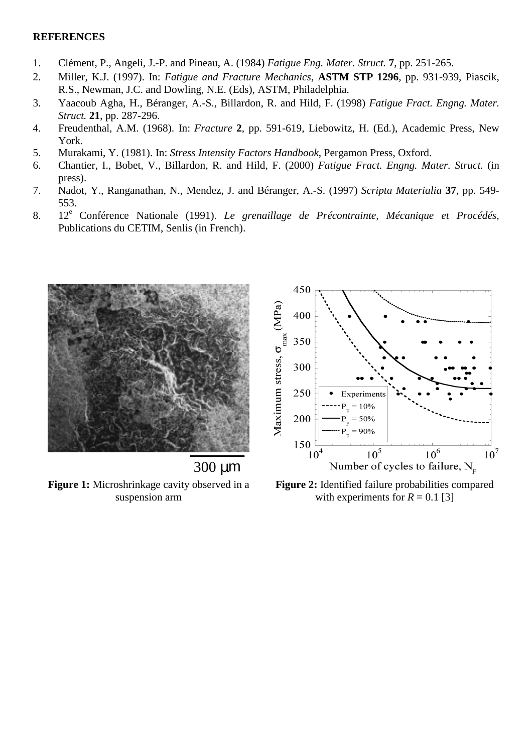### **REFERENCES**

- 1. Clément, P., Angeli, J.-P. and Pineau, A. (1984) *Fatigue Eng. Mater. Struct.* **7**, pp. 251-265.
- 2. Miller, K.J. (1997). In: *Fatigue and Fracture Mechanics*, **ASTM STP 1296**, pp. 931-939, Piascik, R.S., Newman, J.C. and Dowling, N.E. (Eds), ASTM, Philadelphia.
- 3. Yaacoub Agha, H., Béranger, A.-S., Billardon, R. and Hild, F. (1998) *Fatigue Fract. Engng. Mater. Struct.* **21**, pp. 287-296.
- 4. Freudenthal, A.M. (1968). In: *Fracture* **2**, pp. 591-619, Liebowitz, H. (Ed.), Academic Press, New York.
- 5. Murakami, Y. (1981). In: *Stress Intensity Factors Handbook*, Pergamon Press, Oxford.
- 6. Chantier, I., Bobet, V., Billardon, R. and Hild, F. (2000) *Fatigue Fract. Engng. Mater. Struct.* (in press).
- 7. Nadot, Y., Ranganathan, N., Mendez, J. and Béranger, A.-S. (1997) *Scripta Materialia* **37**, pp. 549- 553.
- 8. 12<sup>e</sup> Conférence Nationale (1991). *Le grenaillage de Précontrainte, Mécanique et Procédés,* Publications du CETIM, Senlis (in French).





**Figure 1:** Microshrinkage cavity observed in a suspension arm

**Figure 2:** Identified failure probabilities compared with experiments for  $R = 0.1$  [3]